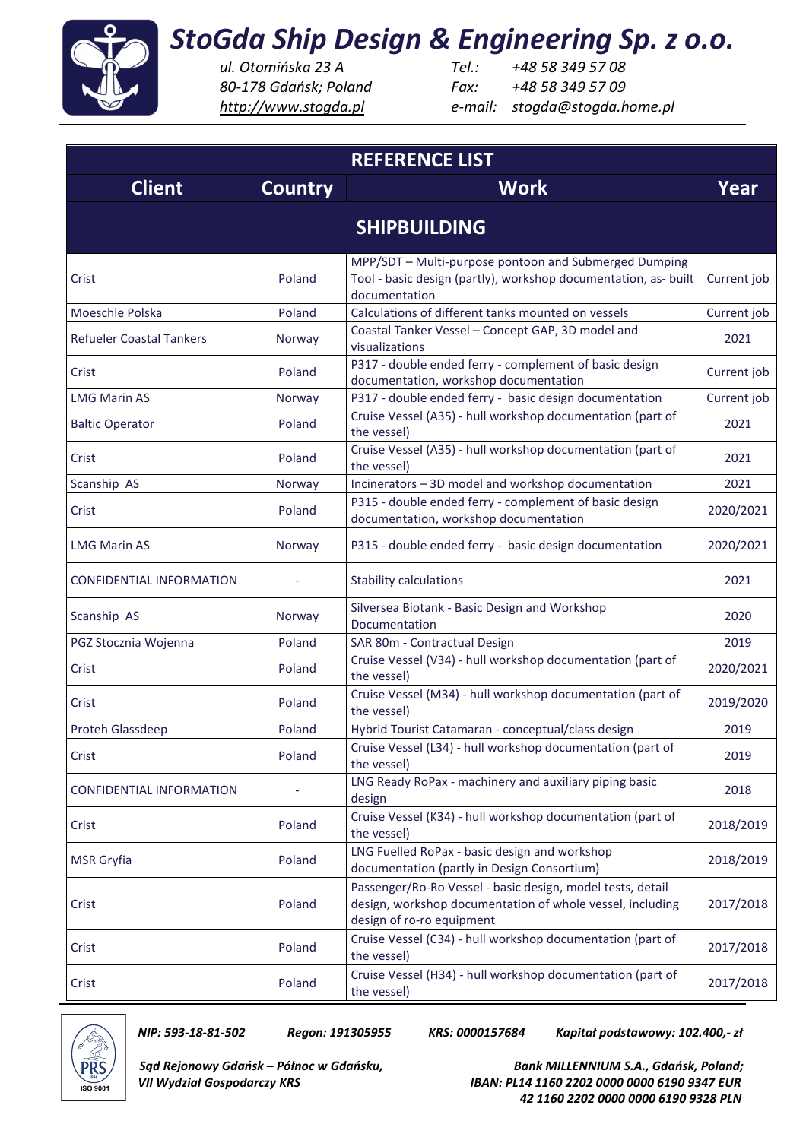

 *http://www.stogda.pl e-mail: stogda@stogda.home.pl*

*ul. Otomińska 23 A Tel.: +48 58 349 57 08 80-178 Gdańsk; Poland Fax: +48 58 349 57 09* 

| <b>REFERENCE LIST</b>           |                |                                                                                                                                                      |             |  |
|---------------------------------|----------------|------------------------------------------------------------------------------------------------------------------------------------------------------|-------------|--|
| <b>Client</b>                   | <b>Country</b> | <b>Work</b>                                                                                                                                          | Year        |  |
| <b>SHIPBUILDING</b>             |                |                                                                                                                                                      |             |  |
| Crist                           | Poland         | MPP/SDT - Multi-purpose pontoon and Submerged Dumping<br>Tool - basic design (partly), workshop documentation, as- built<br>documentation            | Current job |  |
| Moeschle Polska                 | Poland         | Calculations of different tanks mounted on vessels                                                                                                   | Current job |  |
| <b>Refueler Coastal Tankers</b> | Norway         | Coastal Tanker Vessel - Concept GAP, 3D model and<br>visualizations                                                                                  | 2021        |  |
| Crist                           | Poland         | P317 - double ended ferry - complement of basic design<br>documentation, workshop documentation                                                      | Current job |  |
| <b>LMG Marin AS</b>             | Norway         | P317 - double ended ferry - basic design documentation                                                                                               | Current job |  |
| <b>Baltic Operator</b>          | Poland         | Cruise Vessel (A35) - hull workshop documentation (part of<br>the vessel)                                                                            | 2021        |  |
| Crist                           | Poland         | Cruise Vessel (A35) - hull workshop documentation (part of<br>the vessel)                                                                            | 2021        |  |
| Scanship AS                     | Norway         | Incinerators - 3D model and workshop documentation                                                                                                   | 2021        |  |
| Crist                           | Poland         | P315 - double ended ferry - complement of basic design<br>documentation, workshop documentation                                                      | 2020/2021   |  |
| <b>LMG Marin AS</b>             | Norway         | P315 - double ended ferry - basic design documentation                                                                                               | 2020/2021   |  |
| <b>CONFIDENTIAL INFORMATION</b> |                | <b>Stability calculations</b>                                                                                                                        | 2021        |  |
| Scanship AS                     | Norway         | Silversea Biotank - Basic Design and Workshop<br>Documentation                                                                                       | 2020        |  |
| PGZ Stocznia Wojenna            | Poland         | SAR 80m - Contractual Design                                                                                                                         | 2019        |  |
| Crist                           | Poland         | Cruise Vessel (V34) - hull workshop documentation (part of<br>the vessel)                                                                            | 2020/2021   |  |
| Crist                           | Poland         | Cruise Vessel (M34) - hull workshop documentation (part of<br>the vessel)                                                                            | 2019/2020   |  |
| Proteh Glassdeep                | Poland         | Hybrid Tourist Catamaran - conceptual/class design                                                                                                   | 2019        |  |
| Crist                           | Poland         | Cruise Vessel (L34) - hull workshop documentation (part of<br>the vessel)                                                                            | 2019        |  |
| <b>CONFIDENTIAL INFORMATION</b> |                | LNG Ready RoPax - machinery and auxiliary piping basic<br>design                                                                                     | 2018        |  |
| Crist                           | Poland         | Cruise Vessel (K34) - hull workshop documentation (part of<br>the vessel)                                                                            | 2018/2019   |  |
| <b>MSR</b> Gryfia               | Poland         | LNG Fuelled RoPax - basic design and workshop<br>documentation (partly in Design Consortium)                                                         | 2018/2019   |  |
| Crist                           | Poland         | Passenger/Ro-Ro Vessel - basic design, model tests, detail<br>design, workshop documentation of whole vessel, including<br>design of ro-ro equipment | 2017/2018   |  |
| Crist                           | Poland         | Cruise Vessel (C34) - hull workshop documentation (part of<br>the vessel)                                                                            | 2017/2018   |  |
| Crist                           | Poland         | Cruise Vessel (H34) - hull workshop documentation (part of<br>the vessel)                                                                            | 2017/2018   |  |



*NIP: 593-18-81-502 Regon: 191305955 KRS: 0000157684 Kapitał podstawowy: 102.400,- zł* 

*Sąd Rejonowy Gdańsk – Północ w Gdańsku, Bank MILLENNIUM S.A., Gdańsk, Poland; VII Wydział Gospodarczy KRS IBAN: PL14 1160 2202 0000 0000 6190 9347 EUR 42 1160 2202 0000 0000 6190 9328 PLN*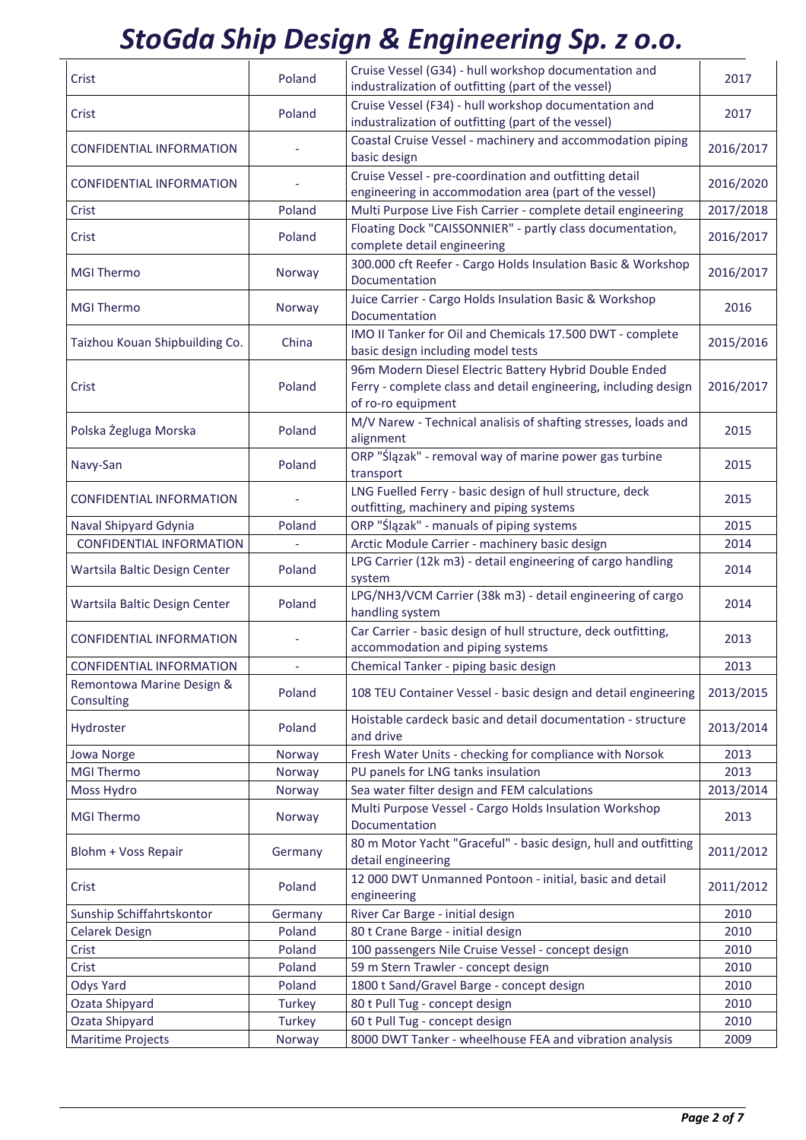| Crist                                   | Poland  | Cruise Vessel (G34) - hull workshop documentation and<br>industralization of outfitting (part of the vessel)                                    | 2017      |
|-----------------------------------------|---------|-------------------------------------------------------------------------------------------------------------------------------------------------|-----------|
| Crist                                   | Poland  | Cruise Vessel (F34) - hull workshop documentation and<br>industralization of outfitting (part of the vessel)                                    | 2017      |
| CONFIDENTIAL INFORMATION                |         | Coastal Cruise Vessel - machinery and accommodation piping<br>basic design                                                                      | 2016/2017 |
| <b>CONFIDENTIAL INFORMATION</b>         |         | Cruise Vessel - pre-coordination and outfitting detail<br>engineering in accommodation area (part of the vessel)                                | 2016/2020 |
| Crist                                   | Poland  | Multi Purpose Live Fish Carrier - complete detail engineering                                                                                   | 2017/2018 |
| Crist                                   | Poland  | Floating Dock "CAISSONNIER" - partly class documentation,<br>complete detail engineering                                                        | 2016/2017 |
| <b>MGI Thermo</b>                       | Norway  | 300.000 cft Reefer - Cargo Holds Insulation Basic & Workshop<br>Documentation                                                                   | 2016/2017 |
| <b>MGI Thermo</b>                       | Norway  | Juice Carrier - Cargo Holds Insulation Basic & Workshop<br>Documentation                                                                        | 2016      |
| Taizhou Kouan Shipbuilding Co.          | China   | IMO II Tanker for Oil and Chemicals 17.500 DWT - complete<br>basic design including model tests                                                 | 2015/2016 |
| Crist                                   | Poland  | 96m Modern Diesel Electric Battery Hybrid Double Ended<br>Ferry - complete class and detail engineering, including design<br>of ro-ro equipment | 2016/2017 |
| Polska Żegluga Morska                   | Poland  | M/V Narew - Technical analisis of shafting stresses, loads and<br>alignment                                                                     | 2015      |
| Navy-San                                | Poland  | ORP "Ślązak" - removal way of marine power gas turbine<br>transport                                                                             | 2015      |
| <b>CONFIDENTIAL INFORMATION</b>         |         | LNG Fuelled Ferry - basic design of hull structure, deck<br>outfitting, machinery and piping systems                                            | 2015      |
| Naval Shipyard Gdynia                   | Poland  | ORP "Ślązak" - manuals of piping systems                                                                                                        | 2015      |
| <b>CONFIDENTIAL INFORMATION</b>         |         | Arctic Module Carrier - machinery basic design                                                                                                  | 2014      |
| Wartsila Baltic Design Center           | Poland  | LPG Carrier (12k m3) - detail engineering of cargo handling<br>system                                                                           | 2014      |
| Wartsila Baltic Design Center           | Poland  | LPG/NH3/VCM Carrier (38k m3) - detail engineering of cargo<br>handling system                                                                   | 2014      |
| <b>CONFIDENTIAL INFORMATION</b>         |         | Car Carrier - basic design of hull structure, deck outfitting,<br>accommodation and piping systems                                              | 2013      |
| <b>CONFIDENTIAL INFORMATION</b>         |         | Chemical Tanker - piping basic design                                                                                                           | 2013      |
| Remontowa Marine Design &<br>Consulting | Poland  | 108 TEU Container Vessel - basic design and detail engineering                                                                                  | 2013/2015 |
| Hydroster                               | Poland  | Hoistable cardeck basic and detail documentation - structure<br>and drive                                                                       | 2013/2014 |
| Jowa Norge                              | Norway  | Fresh Water Units - checking for compliance with Norsok                                                                                         | 2013      |
| <b>MGI Thermo</b>                       | Norway  | PU panels for LNG tanks insulation                                                                                                              | 2013      |
| Moss Hydro                              | Norway  | Sea water filter design and FEM calculations                                                                                                    | 2013/2014 |
| <b>MGI Thermo</b>                       | Norway  | Multi Purpose Vessel - Cargo Holds Insulation Workshop<br>Documentation                                                                         | 2013      |
| Blohm + Voss Repair                     | Germany | 80 m Motor Yacht "Graceful" - basic design, hull and outfitting<br>detail engineering                                                           | 2011/2012 |
| Crist                                   | Poland  | 12 000 DWT Unmanned Pontoon - initial, basic and detail<br>engineering                                                                          | 2011/2012 |
| Sunship Schiffahrtskontor               | Germany | River Car Barge - initial design                                                                                                                | 2010      |
| <b>Celarek Design</b>                   | Poland  | 80 t Crane Barge - initial design                                                                                                               | 2010      |
| Crist                                   | Poland  | 100 passengers Nile Cruise Vessel - concept design                                                                                              | 2010      |
| Crist                                   | Poland  | 59 m Stern Trawler - concept design                                                                                                             | 2010      |
| Odys Yard                               | Poland  | 1800 t Sand/Gravel Barge - concept design                                                                                                       | 2010      |
| Ozata Shipyard                          | Turkey  | 80 t Pull Tug - concept design                                                                                                                  | 2010      |
| Ozata Shipyard                          | Turkey  | 60 t Pull Tug - concept design                                                                                                                  | 2010      |
| <b>Maritime Projects</b>                | Norway  | 8000 DWT Tanker - wheelhouse FEA and vibration analysis                                                                                         | 2009      |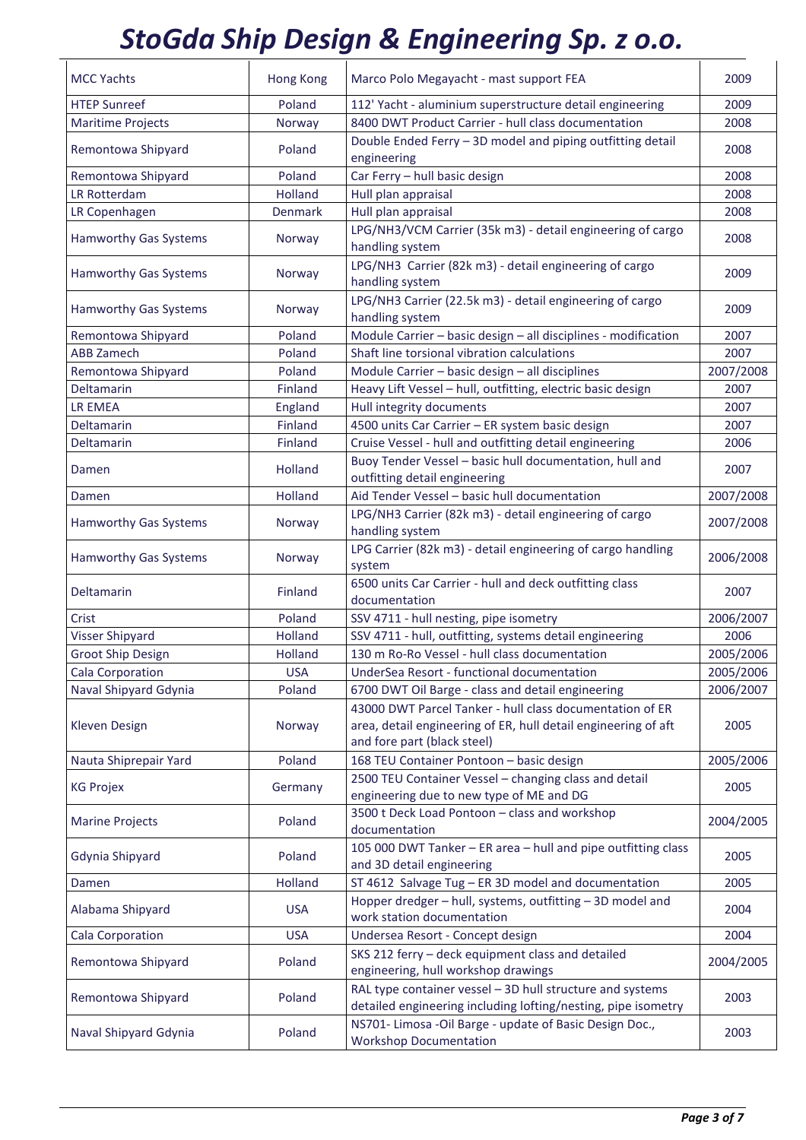| <b>MCC Yachts</b>            | <b>Hong Kong</b> | Marco Polo Megayacht - mast support FEA                                                                                                                   | 2009      |
|------------------------------|------------------|-----------------------------------------------------------------------------------------------------------------------------------------------------------|-----------|
| <b>HTEP Sunreef</b>          | Poland           | 112' Yacht - aluminium superstructure detail engineering                                                                                                  | 2009      |
| <b>Maritime Projects</b>     | Norway           | 8400 DWT Product Carrier - hull class documentation                                                                                                       | 2008      |
| Remontowa Shipyard           | Poland           | Double Ended Ferry - 3D model and piping outfitting detail<br>engineering                                                                                 | 2008      |
| Remontowa Shipyard           | Poland           | Car Ferry - hull basic design                                                                                                                             | 2008      |
| LR Rotterdam                 | Holland          | Hull plan appraisal                                                                                                                                       | 2008      |
| LR Copenhagen                | <b>Denmark</b>   | Hull plan appraisal                                                                                                                                       | 2008      |
| <b>Hamworthy Gas Systems</b> | Norway           | LPG/NH3/VCM Carrier (35k m3) - detail engineering of cargo<br>handling system                                                                             | 2008      |
| <b>Hamworthy Gas Systems</b> | Norway           | LPG/NH3 Carrier (82k m3) - detail engineering of cargo<br>handling system                                                                                 | 2009      |
| <b>Hamworthy Gas Systems</b> | Norway           | LPG/NH3 Carrier (22.5k m3) - detail engineering of cargo<br>handling system                                                                               | 2009      |
| Remontowa Shipyard           | Poland           | Module Carrier - basic design - all disciplines - modification                                                                                            | 2007      |
| <b>ABB Zamech</b>            | Poland           | Shaft line torsional vibration calculations                                                                                                               | 2007      |
| Remontowa Shipyard           | Poland           | Module Carrier - basic design - all disciplines                                                                                                           | 2007/2008 |
| Deltamarin                   | Finland          | Heavy Lift Vessel - hull, outfitting, electric basic design                                                                                               | 2007      |
| LR EMEA                      | England          | Hull integrity documents                                                                                                                                  | 2007      |
| Deltamarin                   | Finland          | 4500 units Car Carrier - ER system basic design                                                                                                           | 2007      |
| Deltamarin                   | Finland          | Cruise Vessel - hull and outfitting detail engineering                                                                                                    | 2006      |
| Damen                        | Holland          | Buoy Tender Vessel - basic hull documentation, hull and<br>outfitting detail engineering                                                                  | 2007      |
| Damen                        | Holland          | Aid Tender Vessel - basic hull documentation                                                                                                              | 2007/2008 |
| <b>Hamworthy Gas Systems</b> | Norway           | LPG/NH3 Carrier (82k m3) - detail engineering of cargo<br>handling system                                                                                 | 2007/2008 |
| <b>Hamworthy Gas Systems</b> | Norway           | LPG Carrier (82k m3) - detail engineering of cargo handling<br>system                                                                                     | 2006/2008 |
| <b>Deltamarin</b>            | Finland          | 6500 units Car Carrier - hull and deck outfitting class<br>documentation                                                                                  | 2007      |
| Crist                        | Poland           | SSV 4711 - hull nesting, pipe isometry                                                                                                                    | 2006/2007 |
| <b>Visser Shipyard</b>       | Holland          | SSV 4711 - hull, outfitting, systems detail engineering                                                                                                   | 2006      |
| Groot Ship Design            | Holland          | 130 m Ro-Ro Vessel - hull class documentation                                                                                                             | 2005/2006 |
| Cala Corporation             | <b>USA</b>       | UnderSea Resort - functional documentation                                                                                                                | 2005/2006 |
| Naval Shipyard Gdynia        | Poland           | 6700 DWT Oil Barge - class and detail engineering                                                                                                         | 2006/2007 |
| Kleven Design                | Norway           | 43000 DWT Parcel Tanker - hull class documentation of ER<br>area, detail engineering of ER, hull detail engineering of aft<br>and fore part (black steel) | 2005      |
| Nauta Shiprepair Yard        | Poland           | 168 TEU Container Pontoon - basic design                                                                                                                  | 2005/2006 |
| <b>KG Projex</b>             | Germany          | 2500 TEU Container Vessel - changing class and detail<br>engineering due to new type of ME and DG                                                         | 2005      |
| <b>Marine Projects</b>       | Poland           | 3500 t Deck Load Pontoon - class and workshop<br>documentation                                                                                            | 2004/2005 |
| Gdynia Shipyard              | Poland           | 105 000 DWT Tanker - ER area - hull and pipe outfitting class<br>and 3D detail engineering                                                                | 2005      |
| Damen                        | Holland          | ST 4612 Salvage Tug - ER 3D model and documentation                                                                                                       | 2005      |
| Alabama Shipyard             | <b>USA</b>       | Hopper dredger - hull, systems, outfitting - 3D model and<br>work station documentation                                                                   | 2004      |
| Cala Corporation             | <b>USA</b>       | Undersea Resort - Concept design                                                                                                                          | 2004      |
| Remontowa Shipyard           | Poland           | SKS 212 ferry - deck equipment class and detailed<br>engineering, hull workshop drawings                                                                  | 2004/2005 |
| Remontowa Shipyard           | Poland           | RAL type container vessel - 3D hull structure and systems<br>detailed engineering including lofting/nesting, pipe isometry                                | 2003      |
| Naval Shipyard Gdynia        | Poland           | NS701- Limosa -Oil Barge - update of Basic Design Doc.,<br><b>Workshop Documentation</b>                                                                  | 2003      |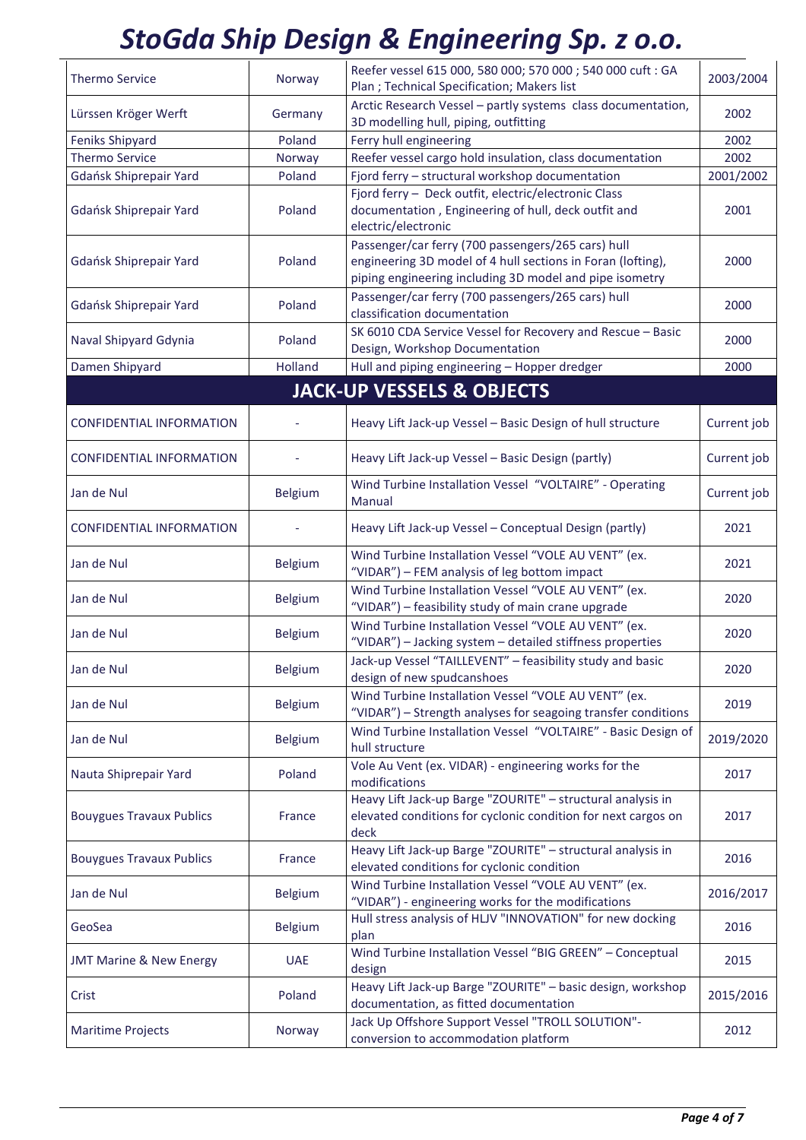| <b>Thermo Service</b>              | Norway         | Reefer vessel 615 000, 580 000; 570 000 ; 540 000 cuft : GA<br>Plan ; Technical Specification; Makers list                                                                   | 2003/2004   |
|------------------------------------|----------------|------------------------------------------------------------------------------------------------------------------------------------------------------------------------------|-------------|
| Lürssen Kröger Werft               | Germany        | Arctic Research Vessel - partly systems class documentation,<br>3D modelling hull, piping, outfitting                                                                        | 2002        |
| <b>Feniks Shipyard</b>             | Poland         | Ferry hull engineering                                                                                                                                                       | 2002        |
| <b>Thermo Service</b>              | Norway         | Reefer vessel cargo hold insulation, class documentation                                                                                                                     | 2002        |
| Gdańsk Shiprepair Yard             | Poland         | Fjord ferry - structural workshop documentation                                                                                                                              | 2001/2002   |
| Gdańsk Shiprepair Yard             | Poland         | Fjord ferry - Deck outfit, electric/electronic Class<br>documentation, Engineering of hull, deck outfit and<br>electric/electronic                                           | 2001        |
| Gdańsk Shiprepair Yard             | Poland         | Passenger/car ferry (700 passengers/265 cars) hull<br>engineering 3D model of 4 hull sections in Foran (lofting),<br>piping engineering including 3D model and pipe isometry | 2000        |
| Gdańsk Shiprepair Yard             | Poland         | Passenger/car ferry (700 passengers/265 cars) hull<br>classification documentation                                                                                           | 2000        |
| Naval Shipyard Gdynia              | Poland         | SK 6010 CDA Service Vessel for Recovery and Rescue - Basic<br>Design, Workshop Documentation                                                                                 | 2000        |
| Damen Shipyard                     | Holland        | Hull and piping engineering - Hopper dredger                                                                                                                                 | 2000        |
|                                    |                | <b>JACK-UP VESSELS &amp; OBJECTS</b>                                                                                                                                         |             |
|                                    |                |                                                                                                                                                                              |             |
| <b>CONFIDENTIAL INFORMATION</b>    |                | Heavy Lift Jack-up Vessel - Basic Design of hull structure                                                                                                                   | Current job |
| <b>CONFIDENTIAL INFORMATION</b>    |                | Heavy Lift Jack-up Vessel - Basic Design (partly)                                                                                                                            | Current job |
| Jan de Nul                         | Belgium        | Wind Turbine Installation Vessel "VOLTAIRE" - Operating<br>Manual                                                                                                            | Current job |
| <b>CONFIDENTIAL INFORMATION</b>    |                | Heavy Lift Jack-up Vessel - Conceptual Design (partly)                                                                                                                       | 2021        |
| Jan de Nul                         | Belgium        | Wind Turbine Installation Vessel "VOLE AU VENT" (ex.<br>"VIDAR") - FEM analysis of leg bottom impact                                                                         | 2021        |
| Jan de Nul                         | Belgium        | Wind Turbine Installation Vessel "VOLE AU VENT" (ex.<br>"VIDAR") - feasibility study of main crane upgrade                                                                   | 2020        |
| Jan de Nul                         | Belgium        | Wind Turbine Installation Vessel "VOLE AU VENT" (ex.<br>"VIDAR") - Jacking system - detailed stiffness properties                                                            | 2020        |
| Jan de Nul                         | <b>Belgium</b> | Jack-up Vessel "TAILLEVENT" - feasibility study and basic<br>design of new spudcanshoes                                                                                      | 2020        |
| Jan de Nul                         | <b>Belgium</b> | Wind Turbine Installation Vessel "VOLE AU VENT" (ex.<br>"VIDAR") - Strength analyses for seagoing transfer conditions                                                        | 2019        |
| Jan de Nul                         | Belgium        | Wind Turbine Installation Vessel "VOLTAIRE" - Basic Design of<br>hull structure                                                                                              | 2019/2020   |
| Nauta Shiprepair Yard              | Poland         | Vole Au Vent (ex. VIDAR) - engineering works for the<br>modifications                                                                                                        | 2017        |
| <b>Bouygues Travaux Publics</b>    | France         | Heavy Lift Jack-up Barge "ZOURITE" - structural analysis in<br>elevated conditions for cyclonic condition for next cargos on<br>deck                                         | 2017        |
| <b>Bouygues Travaux Publics</b>    | France         | Heavy Lift Jack-up Barge "ZOURITE" - structural analysis in<br>elevated conditions for cyclonic condition                                                                    | 2016        |
| Jan de Nul                         | <b>Belgium</b> | Wind Turbine Installation Vessel "VOLE AU VENT" (ex.<br>"VIDAR") - engineering works for the modifications                                                                   | 2016/2017   |
| GeoSea                             | Belgium        | Hull stress analysis of HLJV "INNOVATION" for new docking<br>plan                                                                                                            | 2016        |
| <b>JMT Marine &amp; New Energy</b> | <b>UAE</b>     | Wind Turbine Installation Vessel "BIG GREEN" - Conceptual<br>design                                                                                                          | 2015        |
| Crist                              | Poland         | Heavy Lift Jack-up Barge "ZOURITE" - basic design, workshop<br>documentation, as fitted documentation                                                                        | 2015/2016   |
| <b>Maritime Projects</b>           | Norway         | Jack Up Offshore Support Vessel "TROLL SOLUTION"-<br>conversion to accommodation platform                                                                                    | 2012        |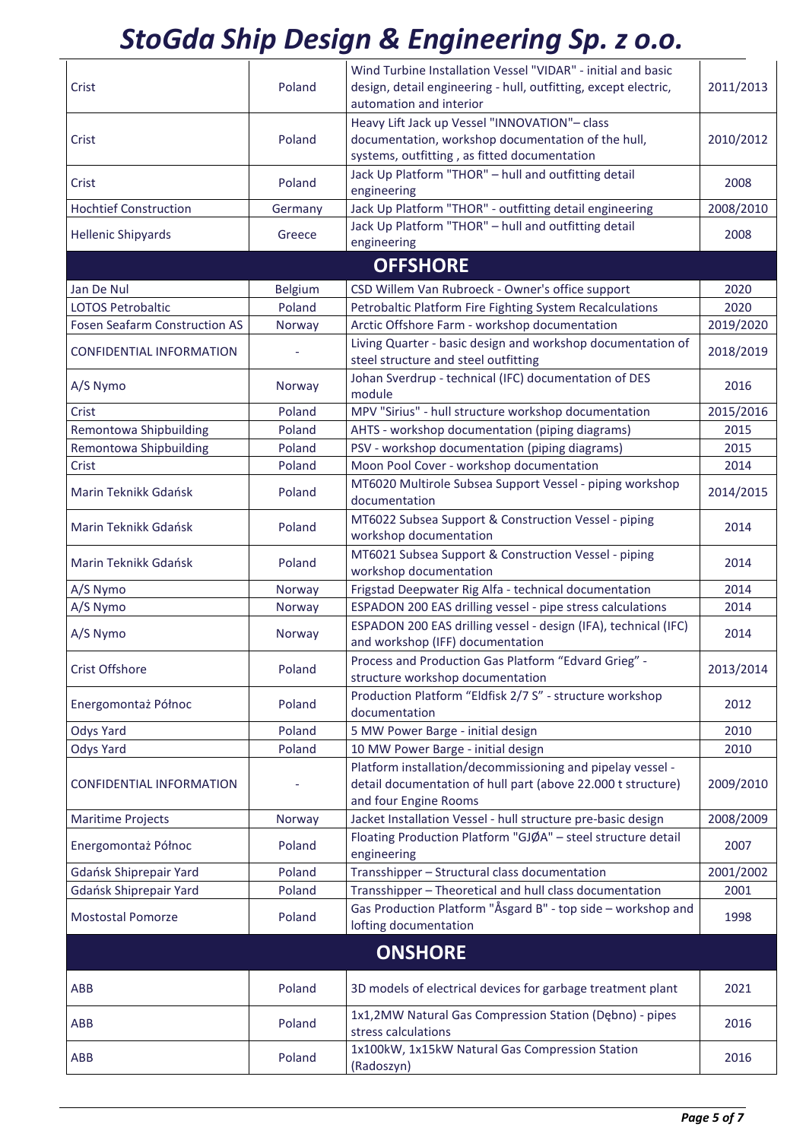| Crist                                | Poland         | Wind Turbine Installation Vessel "VIDAR" - initial and basic<br>design, detail engineering - hull, outfitting, except electric,<br>automation and interior | 2011/2013 |
|--------------------------------------|----------------|------------------------------------------------------------------------------------------------------------------------------------------------------------|-----------|
| Crist                                | Poland         | Heavy Lift Jack up Vessel "INNOVATION"- class<br>documentation, workshop documentation of the hull,                                                        | 2010/2012 |
| Crist                                | Poland         | systems, outfitting, as fitted documentation<br>Jack Up Platform "THOR" - hull and outfitting detail<br>engineering                                        | 2008      |
| <b>Hochtief Construction</b>         | Germany        | Jack Up Platform "THOR" - outfitting detail engineering                                                                                                    | 2008/2010 |
| <b>Hellenic Shipyards</b>            | Greece         | Jack Up Platform "THOR" - hull and outfitting detail                                                                                                       | 2008      |
|                                      |                | engineering                                                                                                                                                |           |
|                                      |                | <b>OFFSHORE</b>                                                                                                                                            |           |
| Jan De Nul                           | <b>Belgium</b> | CSD Willem Van Rubroeck - Owner's office support                                                                                                           | 2020      |
| <b>LOTOS Petrobaltic</b>             | Poland         | Petrobaltic Platform Fire Fighting System Recalculations                                                                                                   | 2020      |
| <b>Fosen Seafarm Construction AS</b> | Norway         | Arctic Offshore Farm - workshop documentation                                                                                                              | 2019/2020 |
| <b>CONFIDENTIAL INFORMATION</b>      |                | Living Quarter - basic design and workshop documentation of<br>steel structure and steel outfitting                                                        | 2018/2019 |
| A/S Nymo                             | Norway         | Johan Sverdrup - technical (IFC) documentation of DES<br>module                                                                                            | 2016      |
| Crist                                | Poland         | MPV "Sirius" - hull structure workshop documentation                                                                                                       | 2015/2016 |
| Remontowa Shipbuilding               | Poland         | AHTS - workshop documentation (piping diagrams)                                                                                                            | 2015      |
| Remontowa Shipbuilding               | Poland         | PSV - workshop documentation (piping diagrams)                                                                                                             | 2015      |
| Crist                                | Poland         | Moon Pool Cover - workshop documentation                                                                                                                   | 2014      |
| Marin Teknikk Gdańsk                 | Poland         | MT6020 Multirole Subsea Support Vessel - piping workshop<br>documentation                                                                                  | 2014/2015 |
| Marin Teknikk Gdańsk                 | Poland         | MT6022 Subsea Support & Construction Vessel - piping<br>workshop documentation                                                                             | 2014      |
| Marin Teknikk Gdańsk                 | Poland         | MT6021 Subsea Support & Construction Vessel - piping<br>workshop documentation                                                                             | 2014      |
| A/S Nymo                             | Norway         | Frigstad Deepwater Rig Alfa - technical documentation                                                                                                      | 2014      |
| A/S Nymo                             | Norway         | ESPADON 200 EAS drilling vessel - pipe stress calculations                                                                                                 | 2014      |
| A/S Nymo                             | Norway         | ESPADON 200 EAS drilling vessel - design (IFA), technical (IFC)<br>and workshop (IFF) documentation                                                        | 2014      |
| Crist Offshore                       | Poland         | Process and Production Gas Platform "Edvard Grieg" -<br>structure workshop documentation                                                                   | 2013/2014 |
| Energomontaż Północ                  | Poland         | Production Platform "Eldfisk 2/7 S" - structure workshop<br>documentation                                                                                  | 2012      |
| <b>Odys Yard</b>                     | Poland         | 5 MW Power Barge - initial design                                                                                                                          | 2010      |
| <b>Odys Yard</b>                     | Poland         | 10 MW Power Barge - initial design                                                                                                                         | 2010      |
| <b>CONFIDENTIAL INFORMATION</b>      |                | Platform installation/decommissioning and pipelay vessel -<br>detail documentation of hull part (above 22.000 t structure)<br>and four Engine Rooms        | 2009/2010 |
| <b>Maritime Projects</b>             | Norway         | Jacket Installation Vessel - hull structure pre-basic design                                                                                               | 2008/2009 |
| Energomontaż Północ                  | Poland         | Floating Production Platform "GJØA" - steel structure detail<br>engineering                                                                                | 2007      |
| Gdańsk Shiprepair Yard               | Poland         | Transshipper - Structural class documentation                                                                                                              | 2001/2002 |
| Gdańsk Shiprepair Yard               | Poland         | Transshipper - Theoretical and hull class documentation                                                                                                    | 2001      |
| <b>Mostostal Pomorze</b>             | Poland         | Gas Production Platform "Åsgard B" - top side - workshop and<br>lofting documentation                                                                      | 1998      |
| <b>ONSHORE</b>                       |                |                                                                                                                                                            |           |
| ABB                                  | Poland         | 3D models of electrical devices for garbage treatment plant                                                                                                | 2021      |
| ABB                                  | Poland         | 1x1,2MW Natural Gas Compression Station (Dębno) - pipes<br>stress calculations                                                                             | 2016      |
| ABB                                  | Poland         | 1x100kW, 1x15kW Natural Gas Compression Station<br>(Radoszyn)                                                                                              | 2016      |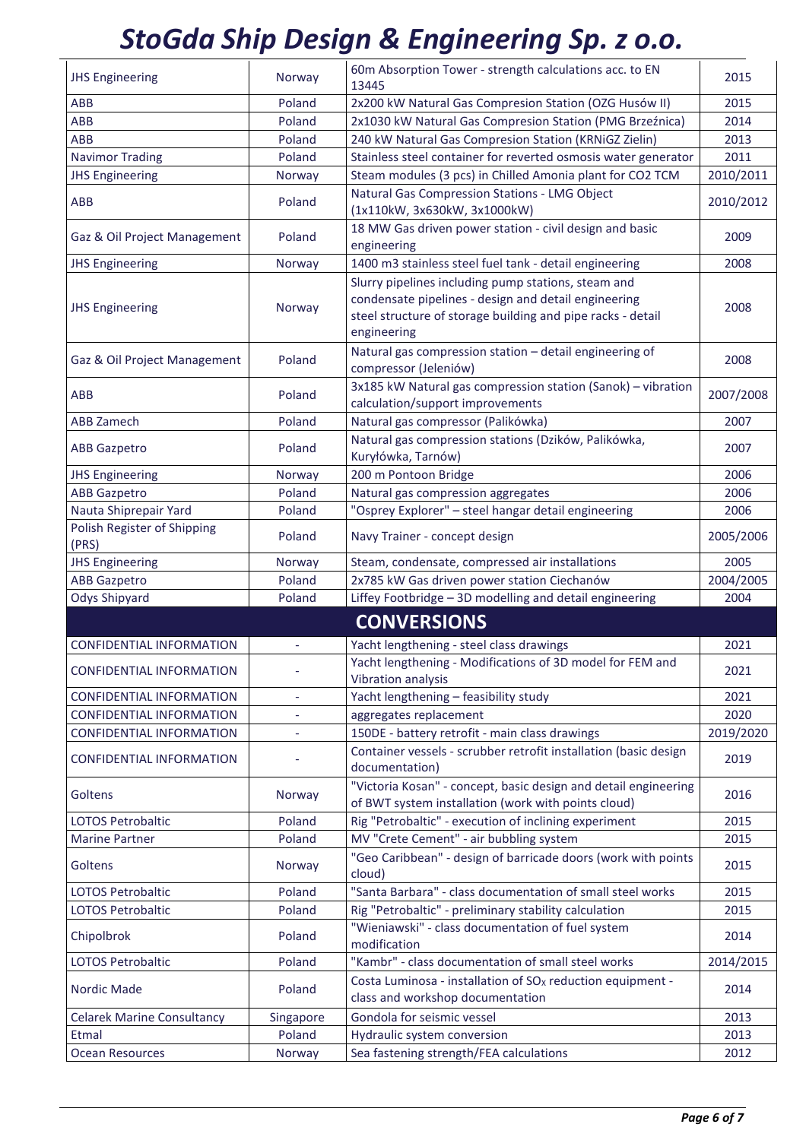| <b>JHS Engineering</b>                                             | Norway                   | 60m Absorption Tower - strength calculations acc. to EN<br>13445                                                                                                                          | 2015              |
|--------------------------------------------------------------------|--------------------------|-------------------------------------------------------------------------------------------------------------------------------------------------------------------------------------------|-------------------|
| ABB                                                                | Poland                   | 2x200 kW Natural Gas Compresion Station (OZG Husów II)                                                                                                                                    | 2015              |
| ABB                                                                | Poland                   | 2x1030 kW Natural Gas Compresion Station (PMG Brzeźnica)                                                                                                                                  | 2014              |
| ABB                                                                | Poland                   | 240 kW Natural Gas Compresion Station (KRNiGZ Zielin)                                                                                                                                     | 2013              |
| <b>Navimor Trading</b>                                             | Poland                   | Stainless steel container for reverted osmosis water generator                                                                                                                            | 2011              |
| <b>JHS Engineering</b>                                             | Norway                   | Steam modules (3 pcs) in Chilled Amonia plant for CO2 TCM                                                                                                                                 | 2010/2011         |
| ABB                                                                | Poland                   | Natural Gas Compression Stations - LMG Object<br>(1x110kW, 3x630kW, 3x1000kW)                                                                                                             | 2010/2012         |
| Gaz & Oil Project Management                                       | Poland                   | 18 MW Gas driven power station - civil design and basic<br>engineering                                                                                                                    | 2009              |
| <b>JHS Engineering</b>                                             | Norway                   | 1400 m3 stainless steel fuel tank - detail engineering                                                                                                                                    | 2008              |
| <b>JHS Engineering</b>                                             | Norway                   | Slurry pipelines including pump stations, steam and<br>condensate pipelines - design and detail engineering<br>steel structure of storage building and pipe racks - detail<br>engineering | 2008              |
| Gaz & Oil Project Management                                       | Poland                   | Natural gas compression station - detail engineering of<br>compressor (Jeleniów)                                                                                                          | 2008              |
| ABB                                                                | Poland                   | 3x185 kW Natural gas compression station (Sanok) - vibration<br>calculation/support improvements                                                                                          | 2007/2008         |
| <b>ABB Zamech</b>                                                  | Poland                   | Natural gas compressor (Palikówka)                                                                                                                                                        | 2007              |
| <b>ABB Gazpetro</b>                                                | Poland                   | Natural gas compression stations (Dzików, Palikówka,<br>Kuryłówka, Tarnów)                                                                                                                | 2007              |
| <b>JHS Engineering</b>                                             | Norway                   | 200 m Pontoon Bridge                                                                                                                                                                      | 2006              |
| <b>ABB Gazpetro</b>                                                | Poland                   | Natural gas compression aggregates                                                                                                                                                        | 2006              |
| Nauta Shiprepair Yard                                              | Poland                   | "Osprey Explorer" - steel hangar detail engineering                                                                                                                                       | 2006              |
| Polish Register of Shipping<br>(PRS)                               | Poland                   | Navy Trainer - concept design                                                                                                                                                             | 2005/2006         |
|                                                                    |                          |                                                                                                                                                                                           |                   |
| <b>JHS Engineering</b>                                             | Norway                   | Steam, condensate, compressed air installations                                                                                                                                           | 2005              |
| <b>ABB Gazpetro</b>                                                | Poland                   | 2x785 kW Gas driven power station Ciechanów                                                                                                                                               | 2004/2005         |
| Odys Shipyard                                                      | Poland                   | Liffey Footbridge - 3D modelling and detail engineering                                                                                                                                   | 2004              |
|                                                                    |                          |                                                                                                                                                                                           |                   |
|                                                                    | $\overline{\phantom{a}}$ | <b>CONVERSIONS</b>                                                                                                                                                                        |                   |
| <b>CONFIDENTIAL INFORMATION</b><br><b>CONFIDENTIAL INFORMATION</b> |                          | Yacht lengthening - steel class drawings<br>Yacht lengthening - Modifications of 3D model for FEM and                                                                                     | 2021<br>2021      |
|                                                                    |                          | Vibration analysis                                                                                                                                                                        |                   |
| <b>CONFIDENTIAL INFORMATION</b>                                    |                          | Yacht lengthening - feasibility study                                                                                                                                                     | 2021              |
| <b>CONFIDENTIAL INFORMATION</b>                                    | $\overline{\phantom{a}}$ | aggregates replacement                                                                                                                                                                    | 2020              |
| <b>CONFIDENTIAL INFORMATION</b><br><b>CONFIDENTIAL INFORMATION</b> |                          | 150DE - battery retrofit - main class drawings<br>Container vessels - scrubber retrofit installation (basic design<br>documentation)                                                      | 2019/2020<br>2019 |
| Goltens                                                            | Norway                   | "Victoria Kosan" - concept, basic design and detail engineering<br>of BWT system installation (work with points cloud)                                                                    | 2016              |
| <b>LOTOS Petrobaltic</b>                                           | Poland                   | Rig "Petrobaltic" - execution of inclining experiment                                                                                                                                     | 2015              |
| <b>Marine Partner</b>                                              | Poland                   | MV "Crete Cement" - air bubbling system                                                                                                                                                   | 2015              |
| Goltens                                                            | Norway                   | "Geo Caribbean" - design of barricade doors (work with points<br>cloud)                                                                                                                   | 2015              |
| <b>LOTOS Petrobaltic</b>                                           | Poland                   | "Santa Barbara" - class documentation of small steel works                                                                                                                                | 2015              |
| <b>LOTOS Petrobaltic</b>                                           | Poland                   | Rig "Petrobaltic" - preliminary stability calculation                                                                                                                                     | 2015              |
| Chipolbrok                                                         | Poland                   | "Wieniawski" - class documentation of fuel system<br>modification                                                                                                                         | 2014              |
| <b>LOTOS Petrobaltic</b>                                           | Poland                   | "Kambr" - class documentation of small steel works                                                                                                                                        | 2014/2015         |
| Nordic Made                                                        | Poland                   | Costa Luminosa - installation of SO <sub>x</sub> reduction equipment -<br>class and workshop documentation                                                                                | 2014              |
| <b>Celarek Marine Consultancy</b>                                  | Singapore                | Gondola for seismic vessel                                                                                                                                                                | 2013              |
| Etmal                                                              | Poland                   | Hydraulic system conversion                                                                                                                                                               | 2013              |